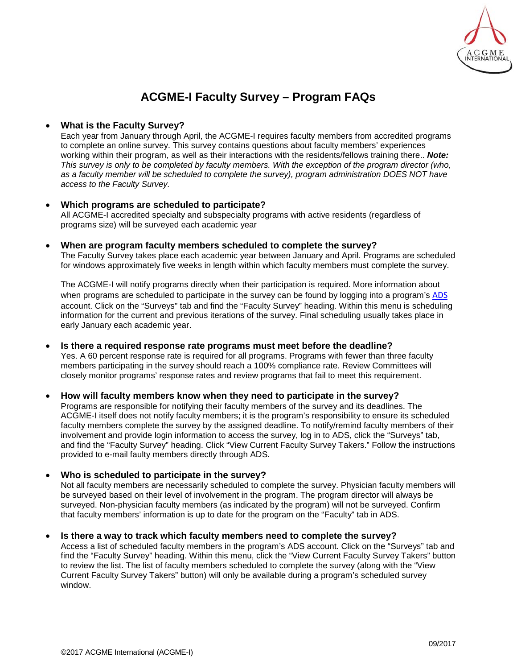

# **ACGME-I Faculty Survey – Program FAQs**

# • **What is the Faculty Survey?**

Each year from January through April, the ACGME-I requires faculty members from accredited programs to complete an online survey. This survey contains questions about faculty members' experiences working within their program, as well as their interactions with the residents/fellows training there.. *Note: This survey is only to be completed by faculty members. With the exception of the program director (who, as a faculty member will be scheduled to complete the survey), program administration DOES NOT have access to the Faculty Survey.*

#### • **Which programs are scheduled to participate?** All ACGME-I accredited specialty and subspecialty programs with active residents (regardless of programs size) will be surveyed each academic year

# • **When are program faculty members scheduled to complete the survey?**

The Faculty Survey takes place each academic year between January and April. Programs are scheduled for windows approximately five weeks in length within which faculty members must complete the survey.

The ACGME-I will notify programs directly when their participation is required. More information about when programs are scheduled to participate in the survey can be found by logging into a program's [ADS](https://www.acgme-i.org/ads) account. Click on the "Surveys" tab and find the "Faculty Survey" heading. Within this menu is scheduling information for the current and previous iterations of the survey. Final scheduling usually takes place in early January each academic year.

# • **Is there a required response rate programs must meet before the deadline?**

Yes. A 60 percent response rate is required for all programs. Programs with fewer than three faculty members participating in the survey should reach a 100% compliance rate. Review Committees will closely monitor programs' response rates and review programs that fail to meet this requirement.

# • **How will faculty members know when they need to participate in the survey?**

Programs are responsible for notifying their faculty members of the survey and its deadlines. The ACGME-I itself does not notify faculty members; it is the program's responsibility to ensure its scheduled faculty members complete the survey by the assigned deadline. To notify/remind faculty members of their involvement and provide login information to access the survey, log in to ADS, click the "Surveys" tab, and find the "Faculty Survey" heading. Click "View Current Faculty Survey Takers." Follow the instructions provided to e-mail faulty members directly through ADS.

# • **Who is scheduled to participate in the survey?**

Not all faculty members are necessarily scheduled to complete the survey. Physician faculty members will be surveyed based on their level of involvement in the program. The program director will always be surveyed. Non-physician faculty members (as indicated by the program) will not be surveyed. Confirm that faculty members' information is up to date for the program on the "Faculty" tab in ADS.

### • **Is there a way to track which faculty members need to complete the survey?**

Access a list of scheduled faculty members in the program's ADS account. Click on the "Surveys" tab and find the "Faculty Survey" heading. Within this menu, click the "View Current Faculty Survey Takers" button to review the list. The list of faculty members scheduled to complete the survey (along with the "View Current Faculty Survey Takers" button) will only be available during a program's scheduled survey window.